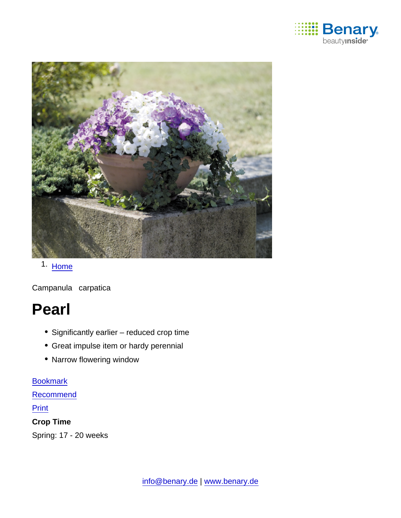

# 1. [Home](https://www.benary.com/)

Campanula carpatica

# Pearl

- Significantly earlier reduced crop time
- Great impulse item or hardy perennial
- Narrow flowering window

#### [Bookmark](https://www.benary.com/flag/flag/product/5805?destination&token=iTlkTcvG7YZFkOQNlwF3NR9ifaIMJ16OagvXXxHnr-Q)

**[Recommend](mailto:?subject=Benary Campanula carpatica &body=https://www.benary.com/print/pdf/node/5805)** 

#### **Print**

Crop Time

Spring: 17 - 20 weeks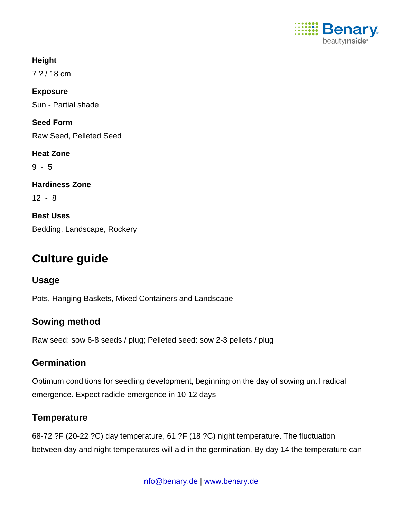

**Height** 7 ? / 18 cm Exposure Sun - Partial shade Seed Form Raw Seed, Pelleted Seed Heat Zone 9 - 5 Hardiness Zone 12 - 8 Best Uses Bedding, Landscape, Rockery

# Culture guide

Usage

Pots, Hanging Baskets, Mixed Containers and Landscape

## Sowing method

Raw seed: sow 6-8 seeds / plug; Pelleted seed: sow 2-3 pellets / plug

## **Germination**

Optimum conditions for seedling development, beginning on the day of sowing until radical emergence. Expect radicle emergence in 10-12 days

## **Temperature**

68-72 ?F (20-22 ?C) day temperature, 61 ?F (18 ?C) night temperature. The fluctuation between day and night temperatures will aid in the germination. By day 14 the temperature can